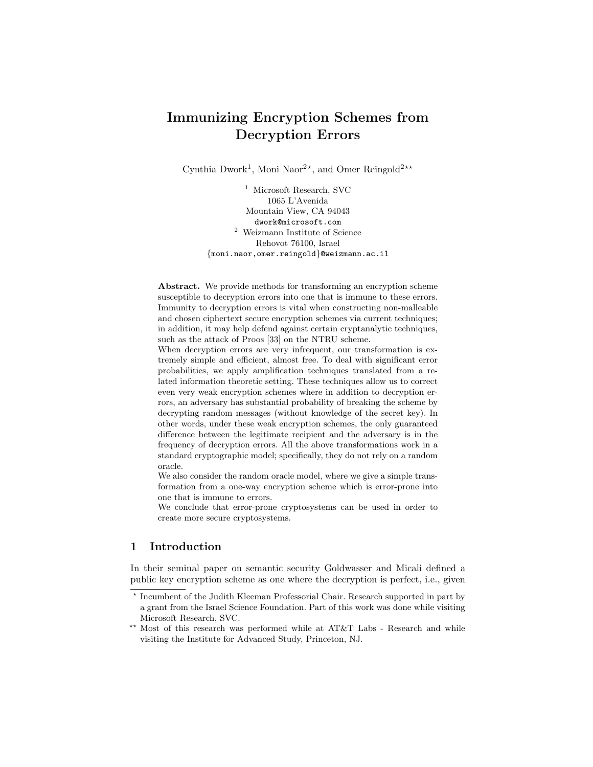# Immunizing Encryption Schemes from Decryption Errors

Cynthia Dwork<sup>1</sup>, Moni Naor<sup>2\*</sup>, and Omer Reingold<sup>2\*\*</sup>

<sup>1</sup> Microsoft Research, SVC 1065 L'Avenida Mountain View, CA 94043 dwork@microsoft.com <sup>2</sup> Weizmann Institute of Science Rehovot 76100, Israel {moni.naor,omer.reingold}@weizmann.ac.il

Abstract. We provide methods for transforming an encryption scheme susceptible to decryption errors into one that is immune to these errors. Immunity to decryption errors is vital when constructing non-malleable and chosen ciphertext secure encryption schemes via current techniques; in addition, it may help defend against certain cryptanalytic techniques, such as the attack of Proos [33] on the NTRU scheme.

When decryption errors are very infrequent, our transformation is extremely simple and efficient, almost free. To deal with significant error probabilities, we apply amplification techniques translated from a related information theoretic setting. These techniques allow us to correct even very weak encryption schemes where in addition to decryption errors, an adversary has substantial probability of breaking the scheme by decrypting random messages (without knowledge of the secret key). In other words, under these weak encryption schemes, the only guaranteed difference between the legitimate recipient and the adversary is in the frequency of decryption errors. All the above transformations work in a standard cryptographic model; specifically, they do not rely on a random oracle.

We also consider the random oracle model, where we give a simple transformation from a one-way encryption scheme which is error-prone into one that is immune to errors.

We conclude that error-prone cryptosystems can be used in order to create more secure cryptosystems.

## 1 Introduction

In their seminal paper on semantic security Goldwasser and Micali defined a public key encryption scheme as one where the decryption is perfect, i.e., given

<sup>?</sup> Incumbent of the Judith Kleeman Professorial Chair. Research supported in part by a grant from the Israel Science Foundation. Part of this work was done while visiting Microsoft Research, SVC.

 $^{\star\star}$  Most of this research was performed while at AT&T Labs - Research and while visiting the Institute for Advanced Study, Princeton, NJ.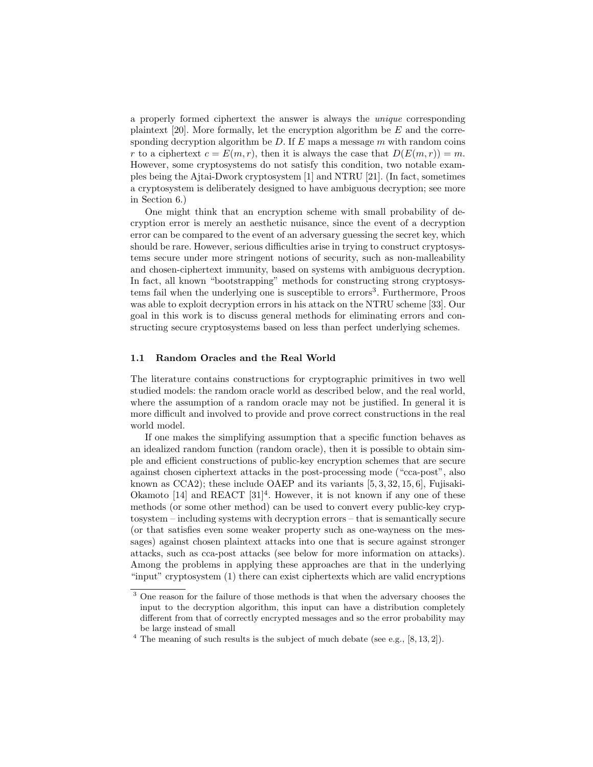a properly formed ciphertext the answer is always the unique corresponding plaintext [20]. More formally, let the encryption algorithm be  $E$  and the corresponding decryption algorithm be  $D$ . If E maps a message m with random coins r to a ciphertext  $c = E(m, r)$ , then it is always the case that  $D(E(m, r)) = m$ . However, some cryptosystems do not satisfy this condition, two notable examples being the Ajtai-Dwork cryptosystem [1] and NTRU [21]. (In fact, sometimes a cryptosystem is deliberately designed to have ambiguous decryption; see more in Section 6.)

One might think that an encryption scheme with small probability of decryption error is merely an aesthetic nuisance, since the event of a decryption error can be compared to the event of an adversary guessing the secret key, which should be rare. However, serious difficulties arise in trying to construct cryptosystems secure under more stringent notions of security, such as non-malleability and chosen-ciphertext immunity, based on systems with ambiguous decryption. In fact, all known "bootstrapping" methods for constructing strong cryptosystems fail when the underlying one is susceptible to errors<sup>3</sup>. Furthermore, Proos was able to exploit decryption errors in his attack on the NTRU scheme [33]. Our goal in this work is to discuss general methods for eliminating errors and constructing secure cryptosystems based on less than perfect underlying schemes.

#### 1.1 Random Oracles and the Real World

The literature contains constructions for cryptographic primitives in two well studied models: the random oracle world as described below, and the real world, where the assumption of a random oracle may not be justified. In general it is more difficult and involved to provide and prove correct constructions in the real world model.

If one makes the simplifying assumption that a specific function behaves as an idealized random function (random oracle), then it is possible to obtain simple and efficient constructions of public-key encryption schemes that are secure against chosen ciphertext attacks in the post-processing mode ("cca-post", also known as CCA2); these include OAEP and its variants [5, 3, 32, 15, 6], Fujisaki-Okamoto [14] and REACT  $[31]^4$ . However, it is not known if any one of these methods (or some other method) can be used to convert every public-key cryptosystem – including systems with decryption errors – that is semantically secure (or that satisfies even some weaker property such as one-wayness on the messages) against chosen plaintext attacks into one that is secure against stronger attacks, such as cca-post attacks (see below for more information on attacks). Among the problems in applying these approaches are that in the underlying "input" cryptosystem (1) there can exist ciphertexts which are valid encryptions

<sup>&</sup>lt;sup>3</sup> One reason for the failure of those methods is that when the adversary chooses the input to the decryption algorithm, this input can have a distribution completely different from that of correctly encrypted messages and so the error probability may be large instead of small

 $4$  The meaning of such results is the subject of much debate (see e.g., [8, 13, 2]).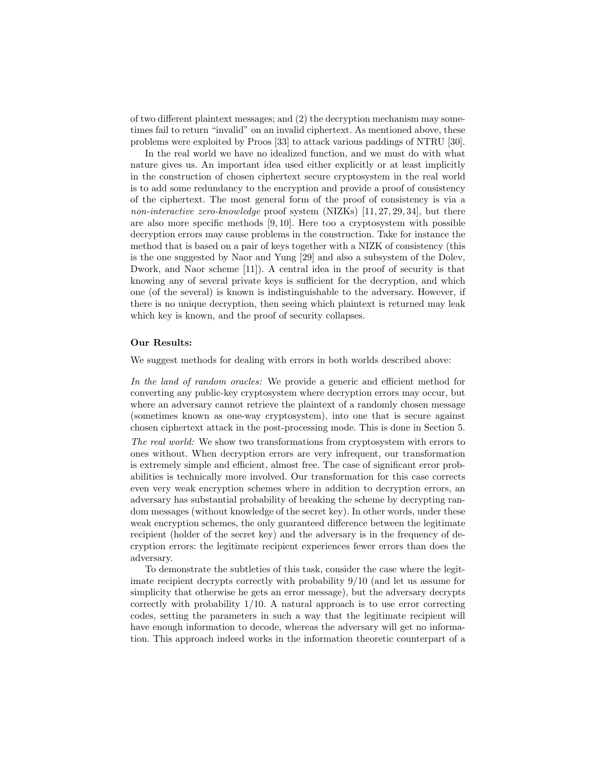of two different plaintext messages; and (2) the decryption mechanism may sometimes fail to return "invalid" on an invalid ciphertext. As mentioned above, these problems were exploited by Proos [33] to attack various paddings of NTRU [30].

In the real world we have no idealized function, and we must do with what nature gives us. An important idea used either explicitly or at least implicitly in the construction of chosen ciphertext secure cryptosystem in the real world is to add some redundancy to the encryption and provide a proof of consistency of the ciphertext. The most general form of the proof of consistency is via a non-interactive zero-knowledge proof system (NIZKs) [11, 27, 29, 34], but there are also more specific methods [9, 10]. Here too a cryptosystem with possible decryption errors may cause problems in the construction. Take for instance the method that is based on a pair of keys together with a NIZK of consistency (this is the one suggested by Naor and Yung [29] and also a subsystem of the Dolev, Dwork, and Naor scheme [11]). A central idea in the proof of security is that knowing any of several private keys is sufficient for the decryption, and which one (of the several) is known is indistinguishable to the adversary. However, if there is no unique decryption, then seeing which plaintext is returned may leak which key is known, and the proof of security collapses.

#### Our Results:

We suggest methods for dealing with errors in both worlds described above:

In the land of random oracles: We provide a generic and efficient method for converting any public-key cryptosystem where decryption errors may occur, but where an adversary cannot retrieve the plaintext of a randomly chosen message (sometimes known as one-way cryptosystem), into one that is secure against chosen ciphertext attack in the post-processing mode. This is done in Section 5.

The real world: We show two transformations from cryptosystem with errors to ones without. When decryption errors are very infrequent, our transformation is extremely simple and efficient, almost free. The case of significant error probabilities is technically more involved. Our transformation for this case corrects even very weak encryption schemes where in addition to decryption errors, an adversary has substantial probability of breaking the scheme by decrypting random messages (without knowledge of the secret key). In other words, under these weak encryption schemes, the only guaranteed difference between the legitimate recipient (holder of the secret key) and the adversary is in the frequency of decryption errors: the legitimate recipient experiences fewer errors than does the adversary.

To demonstrate the subtleties of this task, consider the case where the legitimate recipient decrypts correctly with probability 9/10 (and let us assume for simplicity that otherwise he gets an error message), but the adversary decrypts correctly with probability 1/10. A natural approach is to use error correcting codes, setting the parameters in such a way that the legitimate recipient will have enough information to decode, whereas the adversary will get no information. This approach indeed works in the information theoretic counterpart of a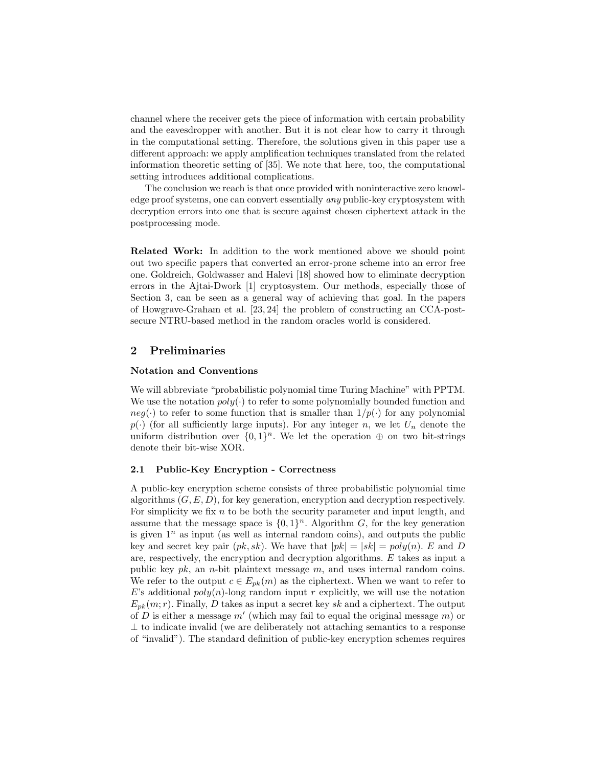channel where the receiver gets the piece of information with certain probability and the eavesdropper with another. But it is not clear how to carry it through in the computational setting. Therefore, the solutions given in this paper use a different approach: we apply amplification techniques translated from the related information theoretic setting of [35]. We note that here, too, the computational setting introduces additional complications.

The conclusion we reach is that once provided with noninteractive zero knowledge proof systems, one can convert essentially any public-key cryptosystem with decryption errors into one that is secure against chosen ciphertext attack in the postprocessing mode.

Related Work: In addition to the work mentioned above we should point out two specific papers that converted an error-prone scheme into an error free one. Goldreich, Goldwasser and Halevi [18] showed how to eliminate decryption errors in the Ajtai-Dwork [1] cryptosystem. Our methods, especially those of Section 3, can be seen as a general way of achieving that goal. In the papers of Howgrave-Graham et al. [23, 24] the problem of constructing an CCA-postsecure NTRU-based method in the random oracles world is considered.

# 2 Preliminaries

#### Notation and Conventions

We will abbreviate "probabilistic polynomial time Turing Machine" with PPTM. We use the notation  $poly(\cdot)$  to refer to some polynomially bounded function and  $neg(\cdot)$  to refer to some function that is smaller than  $1/p(\cdot)$  for any polynomial  $p(\cdot)$  (for all sufficiently large inputs). For any integer n, we let  $U_n$  denote the uniform distribution over  $\{0,1\}^n$ . We let the operation  $\oplus$  on two bit-strings denote their bit-wise XOR.

#### 2.1 Public-Key Encryption - Correctness

A public-key encryption scheme consists of three probabilistic polynomial time algorithms  $(G, E, D)$ , for key generation, encryption and decryption respectively. For simplicity we fix  $n$  to be both the security parameter and input length, and assume that the message space is  $\{0,1\}^n$ . Algorithm G, for the key generation is given  $1^n$  as input (as well as internal random coins), and outputs the public key and secret key pair  $(pk, sk)$ . We have that  $|pk| = |sk| = poly(n)$ . E and D are, respectively, the encryption and decryption algorithms. E takes as input a public key  $pk$ , an *n*-bit plaintext message  $m$ , and uses internal random coins. We refer to the output  $c \in E_{pk}(m)$  as the ciphertext. When we want to refer to E's additional  $poly(n)$ -long random input r explicitly, we will use the notation  $E_{pk}(m;r)$ . Finally, D takes as input a secret key sk and a ciphertext. The output of D is either a message  $m'$  (which may fail to equal the original message  $m$ ) or  $\perp$  to indicate invalid (we are deliberately not attaching semantics to a response of "invalid"). The standard definition of public-key encryption schemes requires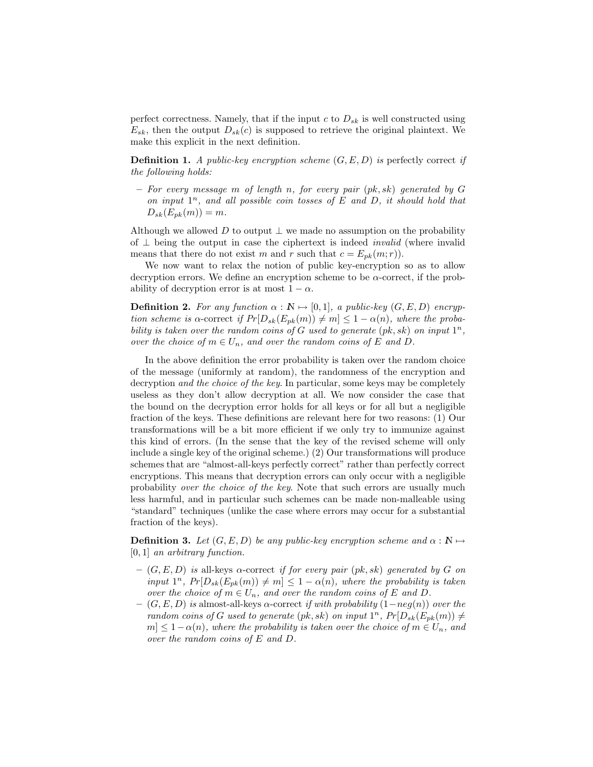perfect correctness. Namely, that if the input c to  $D_{sk}$  is well constructed using  $E_{sk}$ , then the output  $D_{sk}(c)$  is supposed to retrieve the original plaintext. We make this explicit in the next definition.

**Definition 1.** A public-key encryption scheme  $(G, E, D)$  is perfectly correct if the following holds:

– For every message m of length n, for every pair  $(pk, sk)$  generated by G on input  $1^n$ , and all possible coin tosses of E and D, it should hold that  $D_{sk}(E_{pk}(m)) = m.$ 

Although we allowed D to output  $\perp$  we made no assumption on the probability of  $\perp$  being the output in case the ciphertext is indeed *invalid* (where invalid means that there do not exist m and r such that  $c = E_{pk}(m;r)$ .

We now want to relax the notion of public key-encryption so as to allow decryption errors. We define an encryption scheme to be  $\alpha$ -correct, if the probability of decryption error is at most  $1 - \alpha$ .

**Definition 2.** For any function  $\alpha : \mathbb{N} \mapsto [0, 1]$ , a public-key  $(G, E, D)$  encryption scheme is  $\alpha$ -correct if  $Pr[D_{sk}(E_{pk}(m)) \neq m] \leq 1 - \alpha(n)$ , where the probability is taken over the random coins of G used to generate  $(pk, sk)$  on input  $1<sup>n</sup>$ , over the choice of  $m \in U_n$ , and over the random coins of E and D.

In the above definition the error probability is taken over the random choice of the message (uniformly at random), the randomness of the encryption and decryption and the choice of the key. In particular, some keys may be completely useless as they don't allow decryption at all. We now consider the case that the bound on the decryption error holds for all keys or for all but a negligible fraction of the keys. These definitions are relevant here for two reasons: (1) Our transformations will be a bit more efficient if we only try to immunize against this kind of errors. (In the sense that the key of the revised scheme will only include a single key of the original scheme.) (2) Our transformations will produce schemes that are "almost-all-keys perfectly correct" rather than perfectly correct encryptions. This means that decryption errors can only occur with a negligible probability over the choice of the key. Note that such errors are usually much less harmful, and in particular such schemes can be made non-malleable using "standard" techniques (unlike the case where errors may occur for a substantial fraction of the keys).

**Definition 3.** Let  $(G, E, D)$  be any public-key encryption scheme and  $\alpha : \mathbb{N} \mapsto$ [0, 1] an arbitrary function.

- $(G, E, D)$  is all-keys  $\alpha$ -correct if for every pair  $(pk, sk)$  generated by G on input  $1^n$ ,  $Pr[D_{sk}(E_{pk}(m)) \neq m] \leq 1 - \alpha(n)$ , where the probability is taken over the choice of  $m \in U_n$ , and over the random coins of E and D.
- $(G, E, D)$  is almost-all-keys  $\alpha$ -correct if with probability  $(1-neg(n))$  over the random coins of G used to generate  $(pk, sk)$  on input  $1^n$ ,  $Pr[D_{sk}(E_{pk}(m)) \neq$  $m \leq 1-\alpha(n)$ , where the probability is taken over the choice of  $m \in U_n$ , and over the random coins of E and D.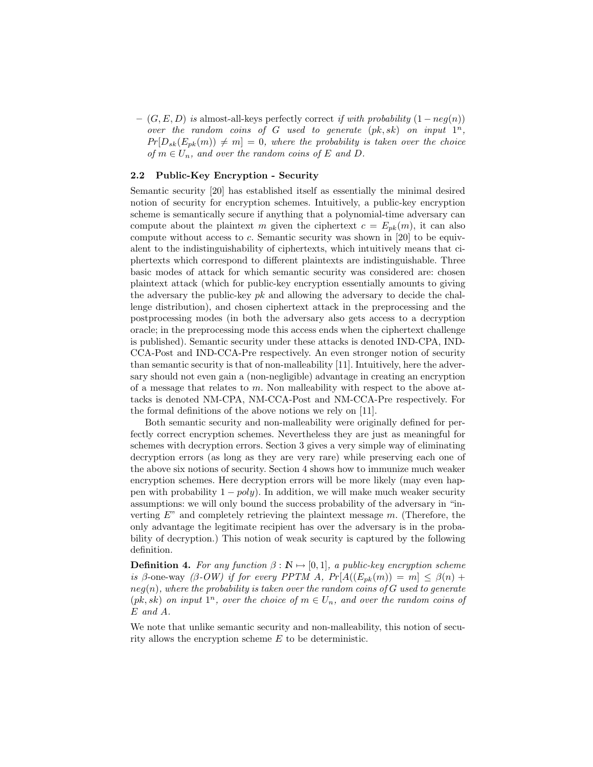$(G, E, D)$  is almost-all-keys perfectly correct if with probability  $(1 - neg(n))$ over the random coins of G used to generate  $(pk, sk)$  on input  $1^n$ ,  $Pr[D_{sk}(E_{pk}(m)) \neq m] = 0$ , where the probability is taken over the choice of  $m \in U_n$ , and over the random coins of E and D.

## 2.2 Public-Key Encryption - Security

Semantic security [20] has established itself as essentially the minimal desired notion of security for encryption schemes. Intuitively, a public-key encryption scheme is semantically secure if anything that a polynomial-time adversary can compute about the plaintext m given the ciphertext  $c = E_{pk}(m)$ , it can also compute without access to c. Semantic security was shown in [20] to be equivalent to the indistinguishability of ciphertexts, which intuitively means that ciphertexts which correspond to different plaintexts are indistinguishable. Three basic modes of attack for which semantic security was considered are: chosen plaintext attack (which for public-key encryption essentially amounts to giving the adversary the public-key  $pk$  and allowing the adversary to decide the challenge distribution), and chosen ciphertext attack in the preprocessing and the postprocessing modes (in both the adversary also gets access to a decryption oracle; in the preprocessing mode this access ends when the ciphertext challenge is published). Semantic security under these attacks is denoted IND-CPA, IND-CCA-Post and IND-CCA-Pre respectively. An even stronger notion of security than semantic security is that of non-malleability [11]. Intuitively, here the adversary should not even gain a (non-negligible) advantage in creating an encryption of a message that relates to  $m$ . Non malleability with respect to the above attacks is denoted NM-CPA, NM-CCA-Post and NM-CCA-Pre respectively. For the formal definitions of the above notions we rely on [11].

Both semantic security and non-malleability were originally defined for perfectly correct encryption schemes. Nevertheless they are just as meaningful for schemes with decryption errors. Section 3 gives a very simple way of eliminating decryption errors (as long as they are very rare) while preserving each one of the above six notions of security. Section 4 shows how to immunize much weaker encryption schemes. Here decryption errors will be more likely (may even happen with probability  $1 - poly$ ). In addition, we will make much weaker security assumptions: we will only bound the success probability of the adversary in "inverting  $E^{\prime\prime}$  and completely retrieving the plaintext message  $m$ . (Therefore, the only advantage the legitimate recipient has over the adversary is in the probability of decryption.) This notion of weak security is captured by the following definition.

**Definition 4.** For any function  $\beta : \mathbb{N} \mapsto [0, 1]$ , a public-key encryption scheme is β-one-way (β-OW) if for every PPTM A,  $Pr[A((E_{pk}(m)) = m] \leq \beta(n) +$  $neg(n)$ , where the probability is taken over the random coins of G used to generate  $(pk, sk)$  on input  $1^n$ , over the choice of  $m \in U_n$ , and over the random coins of E and A.

We note that unlike semantic security and non-malleability, this notion of security allows the encryption scheme  $E$  to be deterministic.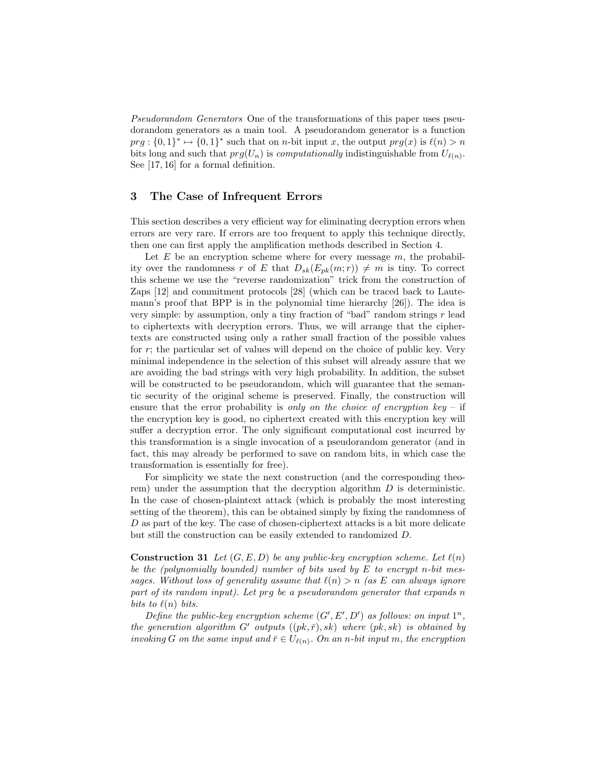Pseudorandom Generators One of the transformations of this paper uses pseudorandom generators as a main tool. A pseudorandom generator is a function  $prg: \{0,1\}^* \mapsto \{0,1\}^*$  such that on *n*-bit input x, the output  $prg(x)$  is  $\ell(n) > n$ bits long and such that  $prg(U_n)$  is *computationally* indistinguishable from  $U_{\ell(n)}$ . See [17, 16] for a formal definition.

## 3 The Case of Infrequent Errors

This section describes a very efficient way for eliminating decryption errors when errors are very rare. If errors are too frequent to apply this technique directly, then one can first apply the amplification methods described in Section 4.

Let  $E$  be an encryption scheme where for every message  $m$ , the probability over the randomness r of E that  $D_{sk}(E_{pk}(m;r)) \neq m$  is tiny. To correct this scheme we use the "reverse randomization" trick from the construction of Zaps [12] and commitment protocols [28] (which can be traced back to Lautemann's proof that BPP is in the polynomial time hierarchy [26]). The idea is very simple: by assumption, only a tiny fraction of "bad" random strings  $r$  lead to ciphertexts with decryption errors. Thus, we will arrange that the ciphertexts are constructed using only a rather small fraction of the possible values for r; the particular set of values will depend on the choice of public key. Very minimal independence in the selection of this subset will already assure that we are avoiding the bad strings with very high probability. In addition, the subset will be constructed to be pseudorandom, which will guarantee that the semantic security of the original scheme is preserved. Finally, the construction will ensure that the error probability is only on the choice of encryption key – if the encryption key is good, no ciphertext created with this encryption key will suffer a decryption error. The only significant computational cost incurred by this transformation is a single invocation of a pseudorandom generator (and in fact, this may already be performed to save on random bits, in which case the transformation is essentially for free).

For simplicity we state the next construction (and the corresponding theorem) under the assumption that the decryption algorithm  $D$  is deterministic. In the case of chosen-plaintext attack (which is probably the most interesting setting of the theorem), this can be obtained simply by fixing the randomness of D as part of the key. The case of chosen-ciphertext attacks is a bit more delicate but still the construction can be easily extended to randomized D.

**Construction 31** Let  $(G, E, D)$  be any public-key encryption scheme. Let  $\ell(n)$ be the (polynomially bounded) number of bits used by  $E$  to encrypt n-bit messages. Without loss of generality assume that  $\ell(n) > n$  (as E can always ignore part of its random input). Let prg be a pseudorandom generator that expands n bits to  $\ell(n)$  bits.

Define the public-key encryption scheme  $(G', E', D')$  as follows: on input  $1^n$ , the generation algorithm G' outputs  $((pk, \bar{r}), sk)$  where  $(pk, sk)$  is obtained by invoking G on the same input and  $\bar{r} \in U_{\ell(n)}$ . On an n-bit input m, the encryption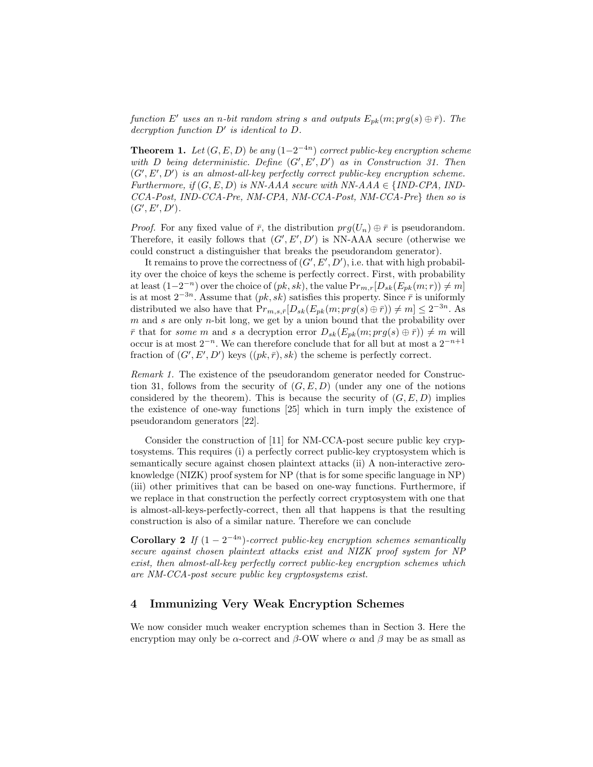function E' uses an n-bit random string s and outputs  $E_{pk}(m; prg(s) \oplus \bar{r})$ . The decryption function  $D'$  is identical to  $D$ .

**Theorem 1.** Let  $(G, E, D)$  be any  $(1-2^{-4n})$  correct public-key encryption scheme with D being deterministic. Define  $(G', E', D')$  as in Construction 31. Then  $(G', E', D')$  is an almost-all-key perfectly correct public-key encryption scheme. Furthermore, if  $(G, E, D)$  is NN-AAA secure with NN-AAA  $\in \{IND\text{-}CPA, IND\}$ CCA-Post, IND-CCA-Pre, NM-CPA, NM-CCA-Post, NM-CCA-Pre} then so is  $(G', E', D')$ .

*Proof.* For any fixed value of  $\bar{r}$ , the distribution  $prg(U_n) \oplus \bar{r}$  is pseudorandom. Therefore, it easily follows that  $(G', E', D')$  is NN-AAA secure (otherwise we could construct a distinguisher that breaks the pseudorandom generator).

It remains to prove the correctness of  $(G', E', D')$ , i.e. that with high probability over the choice of keys the scheme is perfectly correct. First, with probability at least  $(1-2^{-n})$  over the choice of  $(pk, sk)$ , the value  $Pr_{m,r}[D_{sk}(E_{pk}(m;r)) \neq m]$ is at most  $2^{-3n}$ . Assume that  $(pk, sk)$  satisfies this property. Since  $\bar{r}$  is uniformly distributed we also have that  $Pr_{m,s,\bar{r}}[D_{sk}(E_{pk}(m;prg(s) \oplus \bar{r})) \neq m] \leq 2^{-3n}$ . As  $m$  and  $s$  are only  $n$ -bit long, we get by a union bound that the probability over  $\bar{r}$  that for some m and s a decryption error  $D_{sk}(E_{pk}(m; prg(s) \oplus \bar{r})) \neq m$  will occur is at most  $2^{-n}$ . We can therefore conclude that for all but at most a  $2^{-n+1}$ fraction of  $(G', E', D')$  keys  $((pk, \bar{r}), sk)$  the scheme is perfectly correct.

Remark 1. The existence of the pseudorandom generator needed for Construction 31, follows from the security of  $(G, E, D)$  (under any one of the notions considered by the theorem). This is because the security of  $(G, E, D)$  implies the existence of one-way functions [25] which in turn imply the existence of pseudorandom generators [22].

Consider the construction of [11] for NM-CCA-post secure public key cryptosystems. This requires (i) a perfectly correct public-key cryptosystem which is semantically secure against chosen plaintext attacks (ii) A non-interactive zeroknowledge (NIZK) proof system for NP (that is for some specific language in NP) (iii) other primitives that can be based on one-way functions. Furthermore, if we replace in that construction the perfectly correct cryptosystem with one that is almost-all-keys-perfectly-correct, then all that happens is that the resulting construction is also of a similar nature. Therefore we can conclude

Corollary 2 If  $(1 - 2^{-4n})$ -correct public-key encryption schemes semantically secure against chosen plaintext attacks exist and NIZK proof system for NP exist, then almost-all-key perfectly correct public-key encryption schemes which are NM-CCA-post secure public key cryptosystems exist.

## 4 Immunizing Very Weak Encryption Schemes

We now consider much weaker encryption schemes than in Section 3. Here the encryption may only be  $\alpha$ -correct and  $\beta$ -OW where  $\alpha$  and  $\beta$  may be as small as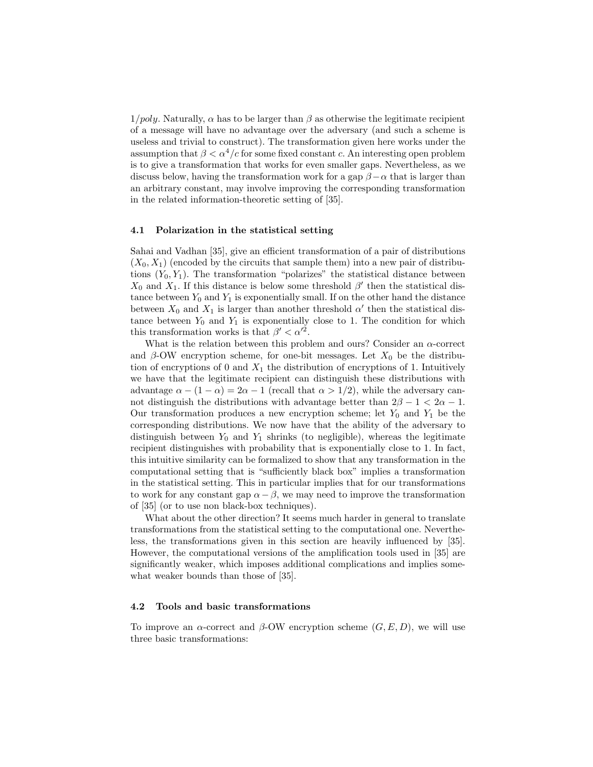$1/poly$ . Naturally,  $\alpha$  has to be larger than  $\beta$  as otherwise the legitimate recipient of a message will have no advantage over the adversary (and such a scheme is useless and trivial to construct). The transformation given here works under the assumption that  $\beta < \alpha^4/c$  for some fixed constant c. An interesting open problem is to give a transformation that works for even smaller gaps. Nevertheless, as we discuss below, having the transformation work for a gap  $\beta - \alpha$  that is larger than an arbitrary constant, may involve improving the corresponding transformation in the related information-theoretic setting of [35].

#### 4.1 Polarization in the statistical setting

Sahai and Vadhan [35], give an efficient transformation of a pair of distributions  $(X_0, X_1)$  (encoded by the circuits that sample them) into a new pair of distributions  $(Y_0, Y_1)$ . The transformation "polarizes" the statistical distance between  $X_0$  and  $X_1$ . If this distance is below some threshold  $\beta'$  then the statistical distance between  $Y_0$  and  $Y_1$  is exponentially small. If on the other hand the distance between  $X_0$  and  $X_1$  is larger than another threshold  $\alpha'$  then the statistical distance between  $Y_0$  and  $Y_1$  is exponentially close to 1. The condition for which this transformation works is that  $\beta' < \alpha'^2$ .

What is the relation between this problem and ours? Consider an  $\alpha$ -correct and  $\beta$ -OW encryption scheme, for one-bit messages. Let  $X_0$  be the distribution of encryptions of 0 and  $X_1$  the distribution of encryptions of 1. Intuitively we have that the legitimate recipient can distinguish these distributions with advantage  $\alpha - (1 - \alpha) = 2\alpha - 1$  (recall that  $\alpha > 1/2$ ), while the adversary cannot distinguish the distributions with advantage better than  $2\beta - 1 < 2\alpha - 1$ . Our transformation produces a new encryption scheme; let  $Y_0$  and  $Y_1$  be the corresponding distributions. We now have that the ability of the adversary to distinguish between  $Y_0$  and  $Y_1$  shrinks (to negligible), whereas the legitimate recipient distinguishes with probability that is exponentially close to 1. In fact, this intuitive similarity can be formalized to show that any transformation in the computational setting that is "sufficiently black box" implies a transformation in the statistical setting. This in particular implies that for our transformations to work for any constant gap  $\alpha - \beta$ , we may need to improve the transformation of [35] (or to use non black-box techniques).

What about the other direction? It seems much harder in general to translate transformations from the statistical setting to the computational one. Nevertheless, the transformations given in this section are heavily influenced by [35]. However, the computational versions of the amplification tools used in [35] are significantly weaker, which imposes additional complications and implies somewhat weaker bounds than those of [35].

## 4.2 Tools and basic transformations

To improve an  $\alpha$ -correct and  $\beta$ -OW encryption scheme  $(G, E, D)$ , we will use three basic transformations: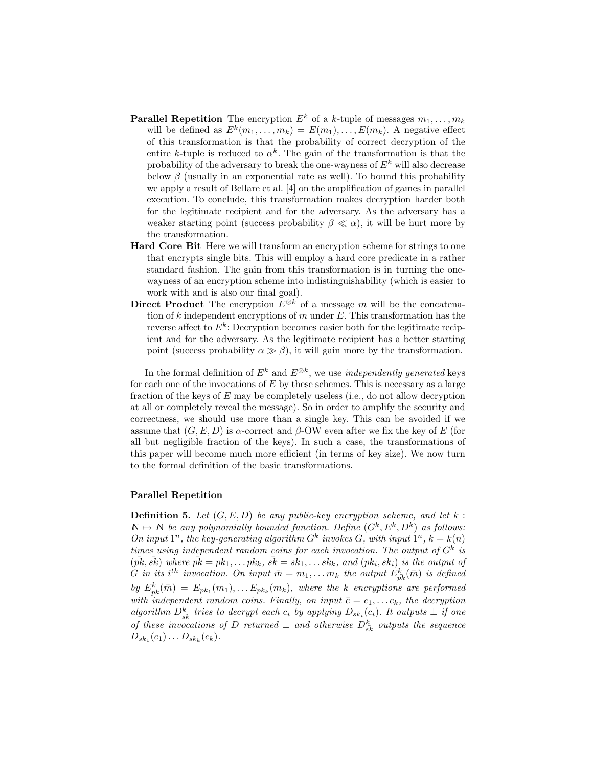- **Parallel Repetition** The encryption  $E^k$  of a k-tuple of messages  $m_1, \ldots, m_k$ will be defined as  $E^k(m_1,\ldots,m_k) = E(m_1),\ldots,E(m_k)$ . A negative effect of this transformation is that the probability of correct decryption of the entire k-tuple is reduced to  $\alpha^k$ . The gain of the transformation is that the probability of the adversary to break the one-wayness of  $E^k$  will also decrease below  $\beta$  (usually in an exponential rate as well). To bound this probability we apply a result of Bellare et al. [4] on the amplification of games in parallel execution. To conclude, this transformation makes decryption harder both for the legitimate recipient and for the adversary. As the adversary has a weaker starting point (success probability  $\beta \ll \alpha$ ), it will be hurt more by the transformation.
- Hard Core Bit Here we will transform an encryption scheme for strings to one that encrypts single bits. This will employ a hard core predicate in a rather standard fashion. The gain from this transformation is in turning the onewayness of an encryption scheme into indistinguishability (which is easier to work with and is also our final goal).
- Direct Product The encryption  $E^{\otimes k}$  of a message m will be the concatenation of k independent encryptions of m under  $E$ . This transformation has the reverse affect to  $E^k$ : Decryption becomes easier both for the legitimate recipient and for the adversary. As the legitimate recipient has a better starting point (success probability  $\alpha \gg \beta$ ), it will gain more by the transformation.

In the formal definition of  $E^k$  and  $E^{\otimes k}$ , we use *independently generated* keys for each one of the invocations of  $E$  by these schemes. This is necessary as a large fraction of the keys of E may be completely useless (i.e., do not allow decryption at all or completely reveal the message). So in order to amplify the security and correctness, we should use more than a single key. This can be avoided if we assume that  $(G, E, D)$  is  $\alpha$ -correct and  $\beta$ -OW even after we fix the key of E (for all but negligible fraction of the keys). In such a case, the transformations of this paper will become much more efficient (in terms of key size). We now turn to the formal definition of the basic transformations.

#### Parallel Repetition

**Definition 5.** Let  $(G, E, D)$  be any public-key encryption scheme, and let k:  $N \mapsto N$  be any polynomially bounded function. Define  $(G^k, E^k, D^k)$  as follows: On input  $1^n$ , the key-generating algorithm  $G^k$  invokes G, with input  $1^n$ ,  $k = k(n)$ times using independent random coins for each invocation. The output of  $G^k$  is  $(\bar{pk}, \bar{sk})$  where  $\bar{pk} = pk_1, \ldots pk_k$ ,  $\bar{sk} = sk_1, \ldots sk_k$ , and  $(pk_i, sk_i)$  is the output of G in its i<sup>th</sup> invocation. On input  $\bar{m} = m_1, \ldots m_k$  the output  $E_{\bar{pk}}^k(\bar{m})$  is defined by  $E_{\bar{pk}}^k(\bar{m}) = E_{pk_1}(m_1), \ldots E_{pk_k}(m_k)$ , where the k encryptions are performed with independent random coins. Finally, on input  $\bar{c} = c_1, \ldots c_k$ , the decryption algorithm  $D_{\bar{sk}}^k$  tries to decrypt each  $c_i$  by applying  $D_{sk_i}(c_i)$ . It outputs  $\perp$  if one of these invocations of D returned  $\perp$  and otherwise  $D_{\bar{sk}}^k$  outputs the sequence  $D_{sk_1}(c_1)\dots D_{sk_k}(c_k).$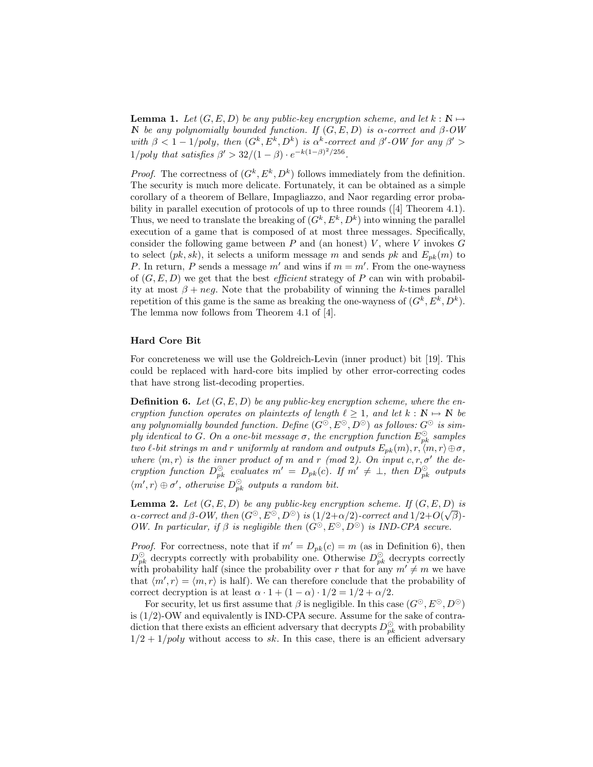**Lemma 1.** Let  $(G, E, D)$  be any public-key encryption scheme, and let  $k : \mathbb{N} \mapsto$ N be any polynomially bounded function. If  $(G, E, D)$  is  $\alpha$ -correct and  $\beta$ -OW with  $\beta < 1 - 1/poly$ , then  $(G^k, E^k, D^k)$  is  $\alpha^k$ -correct and  $\beta'$ -OW for any  $\beta' >$ 1/poly that satisfies  $\beta' > 32/(1-\beta) \cdot e^{-k(1-\beta)^2/256}$ .

*Proof.* The correctness of  $(G^k, E^k, D^k)$  follows immediately from the definition. The security is much more delicate. Fortunately, it can be obtained as a simple corollary of a theorem of Bellare, Impagliazzo, and Naor regarding error probability in parallel execution of protocols of up to three rounds ([4] Theorem 4.1). Thus, we need to translate the breaking of  $(G^k, E^k, D^k)$  into winning the parallel execution of a game that is composed of at most three messages. Specifically, consider the following game between  $P$  and (an honest)  $V$ , where  $V$  invokes  $G$ to select  $(pk, sk)$ , it selects a uniform message m and sends pk and  $E_{nk}(m)$  to P. In return, P sends a message  $m'$  and wins if  $m = m'$ . From the one-wayness of  $(G, E, D)$  we get that the best *efficient* strategy of P can win with probability at most  $\beta$  + neg. Note that the probability of winning the k-times parallel repetition of this game is the same as breaking the one-wayness of  $(G^k, E^k, D^k)$ . The lemma now follows from Theorem 4.1 of [4].

#### Hard Core Bit

For concreteness we will use the Goldreich-Levin (inner product) bit [19]. This could be replaced with hard-core bits implied by other error-correcting codes that have strong list-decoding properties.

**Definition 6.** Let  $(G, E, D)$  be any public-key encryption scheme, where the encryption function operates on plaintexts of length  $\ell \geq 1$ , and let  $k : N \mapsto N$  be any polynomially bounded function. Define  $(G^{\odot}, E^{\odot}, D^{\odot})$  as follows:  $G^{\odot}$  is simply identical to G. On a one-bit message  $\sigma$ , the encryption function  $E_{pk}^{\odot}$  samples two  $\ell$ -bit strings m and r uniformly at random and outputs  $E_{pk}(m)$ ,  $r,\langle m, r \rangle \oplus \sigma$ , where  $\langle m, r \rangle$  is the inner product of m and r (mod 2). On input c, r,  $\sigma'$  the decryption function  $D_{pk}^{\odot}$  evaluates  $m' = D_{pk}(c)$ . If  $m' \neq \perp$ , then  $D_{pk}^{\odot}$  outputs  $\langle m', r \rangle \oplus \sigma'$ , otherwise  $D_{pk}^{\odot}$  outputs a random bit.

**Lemma 2.** Let  $(G, E, D)$  be any public-key encryption scheme. If  $(G, E, D)$  is  $\alpha$ -correct and  $\beta$ -OW, then  $(G^{\odot}, E^{\odot}, D^{\odot})$  is  $(1/2+\alpha/2)$ -correct and  $1/2+O(\sqrt{\beta})$ -OW. In particular, if  $\beta$  is negligible then  $(G^{\odot}, E^{\odot}, D^{\odot})$  is IND-CPA secure.

*Proof.* For correctness, note that if  $m' = D_{pk}(c) = m$  (as in Definition 6), then  $D_{pk}^{\odot}$  decrypts correctly with probability one. Otherwise  $D_{pk}^{\odot}$  decrypts correctly with probability half (since the probability over r that for any  $m' \neq m$  we have that  $\langle m', r \rangle = \langle m, r \rangle$  is half). We can therefore conclude that the probability of correct decryption is at least  $\alpha \cdot 1 + (1 - \alpha) \cdot 1/2 = 1/2 + \alpha/2$ .

For security, let us first assume that  $\beta$  is negligible. In this case  $(G^{\odot}, E^{\odot}, D^{\odot})$ is  $(1/2)$ -OW and equivalently is IND-CPA secure. Assume for the sake of contradiction that there exists an efficient adversary that decrypts  $D_{pk}^{\odot}$  with probability  $1/2 + 1/poly$  without access to sk. In this case, there is an efficient adversary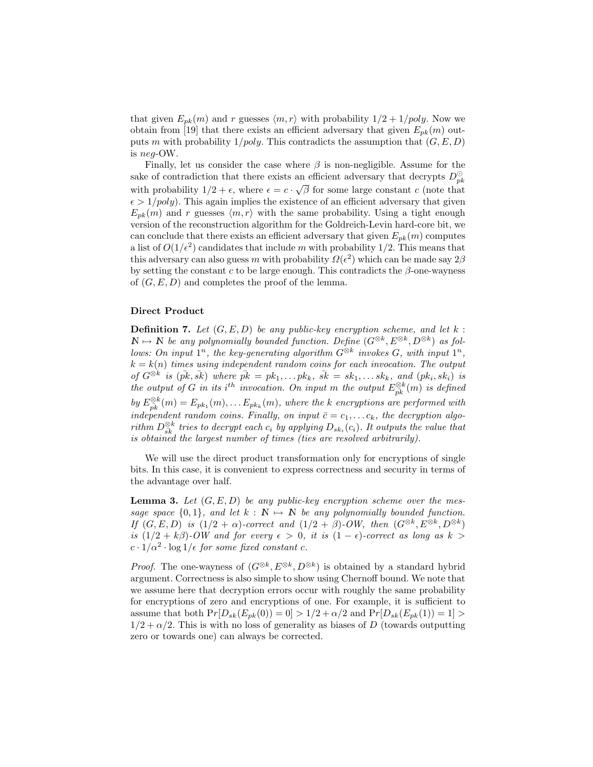that given  $E_{pk}(m)$  and r guesses  $\langle m, r \rangle$  with probability  $1/2 + 1/poly$ . Now we obtain from [19] that there exists an efficient adversary that given  $E_{pk}(m)$  outputs m with probability  $1/poly$ . This contradicts the assumption that  $(G, E, D)$ is neg-OW.

Finally, let us consider the case where  $\beta$  is non-negligible. Assume for the sake of contradiction that there exists an efficient adversary that decrypts  $D_{pk}^{\odot}$ with probability  $1/2 + \epsilon$ , where  $\epsilon = c \cdot \sqrt{\beta}$  for some large constant c (note that  $\epsilon > 1/poly$ ). This again implies the existence of an efficient adversary that given  $E_{pk}(m)$  and r guesses  $\langle m, r \rangle$  with the same probability. Using a tight enough version of the reconstruction algorithm for the Goldreich-Levin hard-core bit, we can conclude that there exists an efficient adversary that given  $E_{nk}(m)$  computes a list of  $O(1/\epsilon^2)$  candidates that include m with probability 1/2. This means that this adversary can also guess m with probability  $\Omega(\epsilon^2)$  which can be made say  $2\beta$ by setting the constant c to be large enough. This contradicts the  $\beta$ -one-wayness of  $(G, E, D)$  and completes the proof of the lemma.

#### Direct Product

**Definition 7.** Let  $(G, E, D)$  be any public-key encryption scheme, and let k:  $N \mapsto N$  be any polynomially bounded function. Define  $(G^{\otimes k}, E^{\otimes k}, D^{\otimes k})$  as follows: On input  $1^n$ , the key-generating algorithm  $G^{\otimes k}$  invokes G, with input  $1^n$ ,  $k = k(n)$  times using independent random coins for each invocation. The output of  $G^{\otimes k}$  is  $(p\bar{k}, s\bar{k})$  where  $p\bar{k} = pk_1, \ldots pk_k$ ,  $s\bar{k} = sk_1, \ldots sk_k$ , and  $(pk_i, sk_i)$  is the output of G in its i<sup>th</sup> invocation. On input m the output  $E_{\vec{pk}}^{\otimes k}(m)$  is defined by  $E_{\bar{pk}}^{\otimes k}(m) = E_{pk_1}(m), \ldots E_{pk_k}(m)$ , where the k encryptions are performed with independent random coins. Finally, on input  $\bar{c} = c_1, \ldots c_k$ , the decryption algorithm  $D_{\bar s k}^{\otimes k}$  tries to decrypt each  $c_i$  by applying  $D_{s k_i}(c_i)$ . It outputs the value that is obtained the largest number of times (ties are resolved arbitrarily).

We will use the direct product transformation only for encryptions of single bits. In this case, it is convenient to express correctness and security in terms of the advantage over half.

**Lemma 3.** Let  $(G, E, D)$  be any public-key encryption scheme over the message space  $\{0, 1\}$ , and let  $k : \mathbb{N} \mapsto \mathbb{N}$  be any polynomially bounded function. If  $(G, E, D)$  is  $(1/2 + \alpha)$ -correct and  $(1/2 + \beta)$ -OW, then  $(G^{\otimes k}, E^{\otimes k}, D^{\otimes k})$ is  $(1/2 + k\beta)$ -OW and for every  $\epsilon > 0$ , it is  $(1 - \epsilon)$ -correct as long as k >  $c \cdot 1/\alpha^2 \cdot \log 1/\epsilon$  for some fixed constant c.

*Proof.* The one-wayness of  $(G^{\otimes k}, E^{\otimes k}, D^{\otimes k})$  is obtained by a standard hybrid argument. Correctness is also simple to show using Chernoff bound. We note that we assume here that decryption errors occur with roughly the same probability for encryptions of zero and encryptions of one. For example, it is sufficient to assume that both  $Pr[D_{sk}(E_{pk}(0)) = 0] > 1/2 + \alpha/2$  and  $Pr[D_{sk}(E_{pk}(1)) = 1] >$  $1/2 + \alpha/2$ . This is with no loss of generality as biases of D (towards outputting zero or towards one) can always be corrected.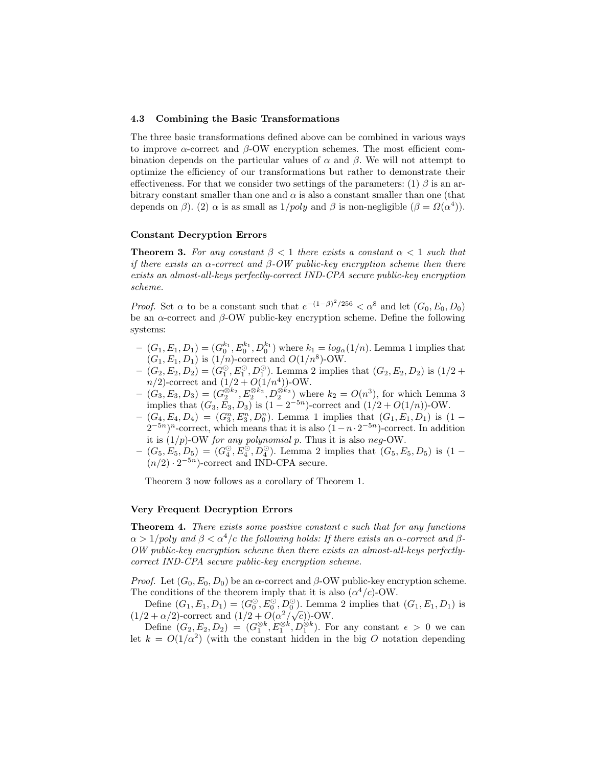#### 4.3 Combining the Basic Transformations

The three basic transformations defined above can be combined in various ways to improve α-correct and β-OW encryption schemes. The most efficient combination depends on the particular values of  $\alpha$  and  $\beta$ . We will not attempt to optimize the efficiency of our transformations but rather to demonstrate their effectiveness. For that we consider two settings of the parameters: (1)  $\beta$  is an arbitrary constant smaller than one and  $\alpha$  is also a constant smaller than one (that depends on  $\beta$ ). (2)  $\alpha$  is as small as  $1/poly$  and  $\beta$  is non-negligible  $(\beta = \Omega(\alpha^4))$ .

#### Constant Decryption Errors

**Theorem 3.** For any constant  $\beta < 1$  there exists a constant  $\alpha < 1$  such that if there exists an  $\alpha$ -correct and  $\beta$ -OW public-key encryption scheme then there exists an almost-all-keys perfectly-correct IND-CPA secure public-key encryption scheme.

*Proof.* Set  $\alpha$  to be a constant such that  $e^{-(1-\beta)^2/256} < \alpha^8$  and let  $(G_0, E_0, D_0)$ be an  $\alpha$ -correct and  $\beta$ -OW public-key encryption scheme. Define the following systems:

- $-(G_1, E_1, D_1) = (G_0^{k_1}, E_0^{k_1}, D_0^{k_1})$  where  $k_1 = log_{\alpha}(1/n)$ . Lemma 1 implies that  $(G_1, E_1, D_1)$  is  $(1/n)$ -correct and  $O(1/n^8)$ -OW.
- $-(G_2, E_2, D_2) = (G_1^{\odot}, E_1^{\odot}, D_1^{\odot})$ . Lemma 2 implies that  $(G_2, E_2, D_2)$  is  $(1/2 +$  $n/2$ -correct and  $(1/2 + O(1/n^4))$ -OW.
- $-(G_3, E_3, D_3) = (G_2^{\otimes k_2}, E_2^{\otimes k_2}, D_2^{\otimes k_2})$  where  $k_2 = O(n^3)$ , for which Lemma 3 implies that  $(G_3, E_3, D_3)$  is  $(1 - 2^{-5n})$ -correct and  $(1/2 + O(1/n))$ -OW.
- $-(G_4, E_4, D_4) = (G_3^n, E_3^n, D_0^n)$ . Lemma 1 implies that  $(G_1, E_1, D_1)$  is  $(1 (2^{-5n})^n$ -correct, which means that it is also  $(1-n \cdot 2^{-5n})$ -correct. In addition it is  $(1/p)$ -OW *for any polynomial p*. Thus it is also *neg*-OW.
- $-(G_5, E_5, D_5) = (G_4^{\odot}, E_4^{\odot}, D_4^{\odot})$ . Lemma 2 implies that  $(G_5, E_5, D_5)$  is  $(1 (n/2) \cdot 2^{-5n}$ )-correct and IND-CPA secure.

Theorem 3 now follows as a corollary of Theorem 1.

#### Very Frequent Decryption Errors

Theorem 4. There exists some positive constant c such that for any functions  $\alpha > 1$ /poly and  $\beta < \alpha^4/c$  the following holds: If there exists an  $\alpha$ -correct and  $\beta$ -OW public-key encryption scheme then there exists an almost-all-keys perfectlycorrect IND-CPA secure public-key encryption scheme.

*Proof.* Let  $(G_0, E_0, D_0)$  be an  $\alpha$ -correct and  $\beta$ -OW public-key encryption scheme. The conditions of the theorem imply that it is also  $(\alpha^4/c)$ -OW.

Define  $(G_1, E_1, D_1) = (G_0^{\odot}, E_0^{\odot}, D_0^{\odot})$ . Lemma 2 implies that  $(G_1, E_1, D_1)$  is Denne  $(G_1, E_1, D_1) = (G_0, E_0, D_0)$ . Lemma<br>(1/2 +  $\alpha$ /2)-correct and (1/2 +  $O(\alpha^2/\sqrt{c})$ )-OW.

Define  $(G_2, E_2, D_2) = (G_1^{\otimes k}, E_1^{\otimes k}, D_1^{\otimes k})$ . For any constant  $\epsilon > 0$  we can let  $k = O(1/\alpha^2)$  (with the constant hidden in the big O notation depending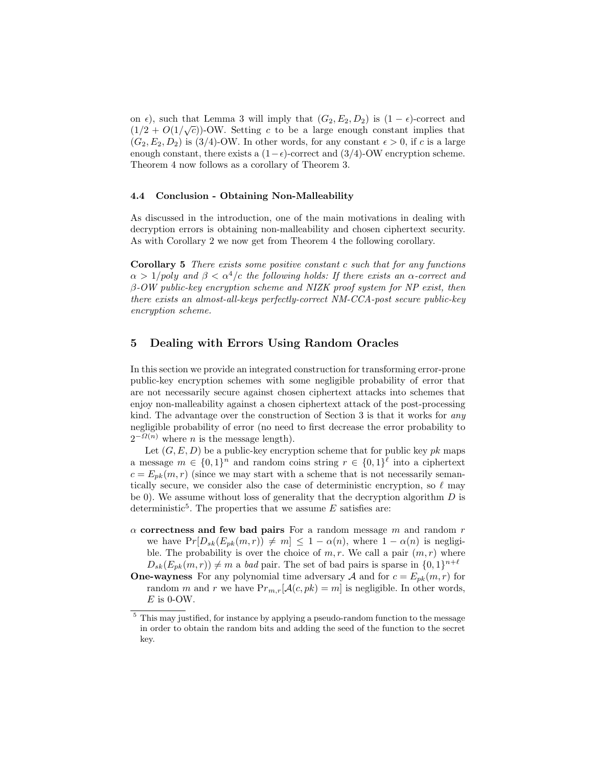on  $\epsilon$ ), such that Lemma 3 will imply that  $(G_2, E_2, D_2)$  is  $(1 - \epsilon)$ -correct and  $(1/2 + O(1/\sqrt{c}))$ -OW. Setting c to be a large enough constant implies that  $(G_2, E_2, D_2)$  is  $(3/4)$ -OW. In other words, for any constant  $\epsilon > 0$ , if c is a large enough constant, there exists a  $(1-\epsilon)$ -correct and  $(3/4)$ -OW encryption scheme. Theorem 4 now follows as a corollary of Theorem 3.

#### 4.4 Conclusion - Obtaining Non-Malleability

As discussed in the introduction, one of the main motivations in dealing with decryption errors is obtaining non-malleability and chosen ciphertext security. As with Corollary 2 we now get from Theorem 4 the following corollary.

Corollary 5 There exists some positive constant c such that for any functions  $\alpha > 1/poly$  and  $\beta < \alpha^4/c$  the following holds: If there exists an  $\alpha$ -correct and  $\beta$ -OW public-key encryption scheme and NIZK proof system for NP exist, then there exists an almost-all-keys perfectly-correct NM-CCA-post secure public-key encryption scheme.

## 5 Dealing with Errors Using Random Oracles

In this section we provide an integrated construction for transforming error-prone public-key encryption schemes with some negligible probability of error that are not necessarily secure against chosen ciphertext attacks into schemes that enjoy non-malleability against a chosen ciphertext attack of the post-processing kind. The advantage over the construction of Section 3 is that it works for any negligible probability of error (no need to first decrease the error probability to  $2^{-\Omega(n)}$  where *n* is the message length).

Let  $(G, E, D)$  be a public-key encryption scheme that for public key pk maps a message  $m \in \{0,1\}^n$  and random coins string  $r \in \{0,1\}^{\ell}$  into a ciphertext  $c = E_{pk}(m, r)$  (since we may start with a scheme that is not necessarily semantically secure, we consider also the case of deterministic encryption, so  $\ell$  may be 0). We assume without loss of generality that the decryption algorithm  $D$  is deterministic<sup>5</sup>. The properties that we assume  $E$  satisfies are:

- $\alpha$  correctness and few bad pairs For a random message m and random r we have  $Pr[D_{sk}(E_{pk}(m, r)) \neq m] \leq 1 - \alpha(n)$ , where  $1 - \alpha(n)$  is negligible. The probability is over the choice of  $m, r$ . We call a pair  $(m, r)$  where  $D_{sk}(E_{pk}(m,r)) \neq m$  a bad pair. The set of bad pairs is sparse in  $\{0,1\}^{n+\ell}$
- **One-wayness** For any polynomial time adversary A and for  $c = E_{pk}(m, r)$  for random m and r we have  $Pr_{m,r}[A(c, pk) = m]$  is negligible. In other words,  $E$  is 0-OW.

<sup>&</sup>lt;sup>5</sup> This may justified, for instance by applying a pseudo-random function to the message in order to obtain the random bits and adding the seed of the function to the secret key.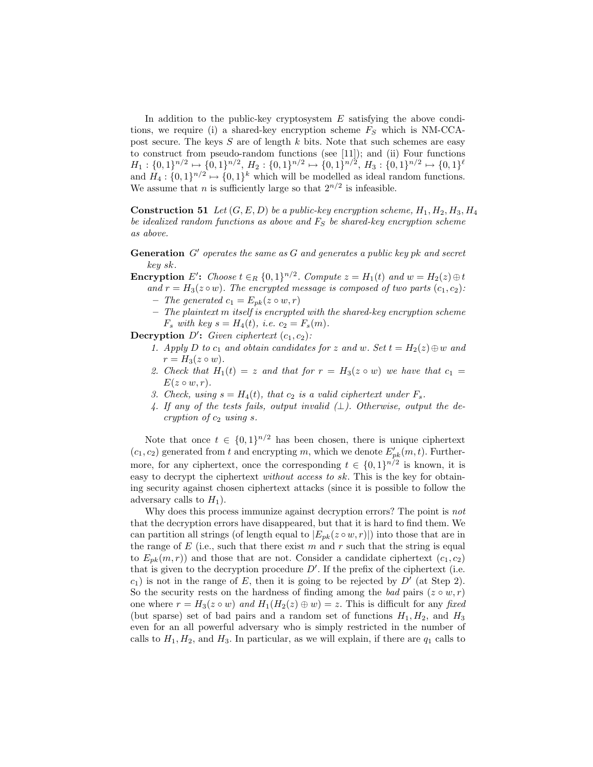In addition to the public-key cryptosystem  $E$  satisfying the above conditions, we require (i) a shared-key encryption scheme  $F<sub>S</sub>$  which is NM-CCApost secure. The keys  $S$  are of length  $k$  bits. Note that such schemes are easy to construct from pseudo-random functions (see [11]); and (ii) Four functions  $H_1: \{0,1\}^{n/2} \mapsto \{0,1\}^{n/2}, H_2: \{0,1\}^{n/2} \mapsto \{0,1\}^{n/2}, H_3: \{0,1\}^{n/2} \mapsto \{0,1\}^{\ell}$ and  $H_4: \{0,1\}^{n/2} \mapsto \{0,1\}^k$  which will be modelled as ideal random functions. We assume that *n* is sufficiently large so that  $2^{n/2}$  is infeasible.

**Construction 51** Let  $(G, E, D)$  be a public-key encryption scheme,  $H_1, H_2, H_3, H_4$ be idealized random functions as above and  $F<sub>S</sub>$  be shared-key encryption scheme as above.

**Generation** G' operates the same as G and generates a public key pk and secret key sk.

**Encryption** E': Choose  $t \in_R \{0,1\}^{n/2}$ . Compute  $z = H_1(t)$  and  $w = H_2(z) \oplus t$ and  $r = H_3(z \circ w)$ . The encrypted message is composed of two parts  $(c_1, c_2)$ :

– The generated  $c_1 = E_{pk}(z \circ w, r)$ 

– The plaintext m itself is encrypted with the shared-key encryption scheme  $F_s$  with key  $s = H_4(t)$ , i.e.  $c_2 = F_s(m)$ .

Decryption  $D'$ : Given ciphertext  $(c_1, c_2)$ :

- 1. Apply D to  $c_1$  and obtain candidates for z and w. Set  $t = H_2(z) \oplus w$  and  $r = H_3(z \circ w)$ .
- 2. Check that  $H_1(t) = z$  and that for  $r = H_3(z \circ w)$  we have that  $c_1 =$  $E(z \circ w, r)$ .
- 3. Check, using  $s = H_4(t)$ , that  $c_2$  is a valid ciphertext under  $F_s$ .
- 4. If any of the tests fails, output invalid  $(\perp)$ . Otherwise, output the decryption of  $c_2$  using s.

Note that once  $t \in \{0,1\}^{n/2}$  has been chosen, there is unique ciphertext  $(c_1, c_2)$  generated from t and encrypting m, which we denote  $E'_{pk}(m, t)$ . Furthermore, for any ciphertext, once the corresponding  $t \in \{0,1\}^{n/2}$  is known, it is easy to decrypt the ciphertext without access to sk. This is the key for obtaining security against chosen ciphertext attacks (since it is possible to follow the adversary calls to  $H_1$ ).

Why does this process immunize against decryption errors? The point is *not* that the decryption errors have disappeared, but that it is hard to find them. We can partition all strings (of length equal to  $|E_{pk}(z \circ w, r)|$ ) into those that are in the range of  $E$  (i.e., such that there exist m and r such that the string is equal to  $E_{pk}(m, r)$  and those that are not. Consider a candidate ciphertext  $(c_1, c_2)$ that is given to the decryption procedure  $D'$ . If the prefix of the ciphertext (i.e.  $c_1$ ) is not in the range of E, then it is going to be rejected by  $D'$  (at Step 2). So the security rests on the hardness of finding among the bad pairs  $(z \circ w, r)$ one where  $r = H_3(z \circ w)$  and  $H_1(H_2(z) \oplus w) = z$ . This is difficult for any fixed (but sparse) set of bad pairs and a random set of functions  $H_1, H_2$ , and  $H_3$ even for an all powerful adversary who is simply restricted in the number of calls to  $H_1, H_2$ , and  $H_3$ . In particular, as we will explain, if there are  $q_1$  calls to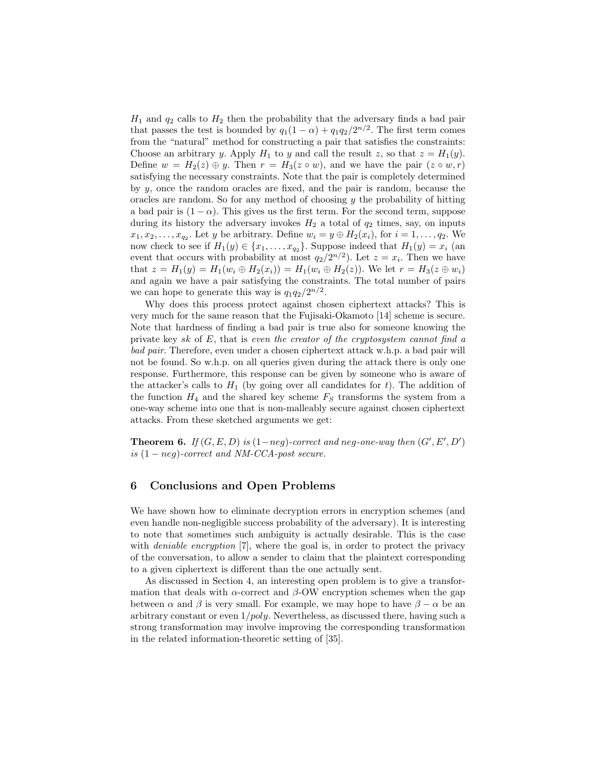$H_1$  and  $q_2$  calls to  $H_2$  then the probability that the adversary finds a bad pair that passes the test is bounded by  $q_1(1-\alpha) + q_1q_2/2^{n/2}$ . The first term comes from the "natural" method for constructing a pair that satisfies the constraints: Choose an arbitrary y. Apply  $H_1$  to y and call the result z, so that  $z = H_1(y)$ . Define  $w = H_2(z) \oplus y$ . Then  $r = H_3(z \circ w)$ , and we have the pair  $(z \circ w, r)$ satisfying the necessary constraints. Note that the pair is completely determined by  $y$ , once the random oracles are fixed, and the pair is random, because the oracles are random. So for any method of choosing  $y$  the probability of hitting a bad pair is  $(1 - \alpha)$ . This gives us the first term. For the second term, suppose during its history the adversary invokes  $H_2$  a total of  $q_2$  times, say, on inputs  $x_1, x_2, \ldots, x_{q_2}$ . Let y be arbitrary. Define  $w_i = y \oplus H_2(x_i)$ , for  $i = 1, \ldots, q_2$ . We now check to see if  $H_1(y) \in \{x_1, \ldots, x_{q_2}\}$ . Suppose indeed that  $H_1(y) = x_i$  (an event that occurs with probability at most  $q_2/2^{n/2}$ ). Let  $z = x_i$ . Then we have that  $z = H_1(y) = H_1(w_i \oplus H_2(x_i)) = H_1(w_i \oplus H_2(z))$ . We let  $r = H_3(z \oplus w_i)$ and again we have a pair satisfying the constraints. The total number of pairs we can hope to generate this way is  $q_1q_2/2^{n/2}$ .

Why does this process protect against chosen ciphertext attacks? This is very much for the same reason that the Fujisaki-Okamoto [14] scheme is secure. Note that hardness of finding a bad pair is true also for someone knowing the private key sk of E, that is even the creator of the cryptosystem cannot find a bad pair. Therefore, even under a chosen ciphertext attack w.h.p. a bad pair will not be found. So w.h.p. on all queries given during the attack there is only one response. Furthermore, this response can be given by someone who is aware of the attacker's calls to  $H_1$  (by going over all candidates for t). The addition of the function  $H_4$  and the shared key scheme  $F_S$  transforms the system from a one-way scheme into one that is non-malleably secure against chosen ciphertext attacks. From these sketched arguments we get:

**Theorem 6.** If  $(G, E, D)$  is  $(1-neg)$ -correct and neg-one-way then  $(G', E', D')$ is  $(1 - neq)$ -correct and NM-CCA-post secure.

## 6 Conclusions and Open Problems

We have shown how to eliminate decryption errors in encryption schemes (and even handle non-negligible success probability of the adversary). It is interesting to note that sometimes such ambiguity is actually desirable. This is the case with *deniable encryption* [7], where the goal is, in order to protect the privacy of the conversation, to allow a sender to claim that the plaintext corresponding to a given ciphertext is different than the one actually sent.

As discussed in Section 4, an interesting open problem is to give a transformation that deals with  $\alpha$ -correct and  $\beta$ -OW encryption schemes when the gap between  $\alpha$  and  $\beta$  is very small. For example, we may hope to have  $\beta - \alpha$  be an arbitrary constant or even  $1/poly$ . Nevertheless, as discussed there, having such a strong transformation may involve improving the corresponding transformation in the related information-theoretic setting of [35].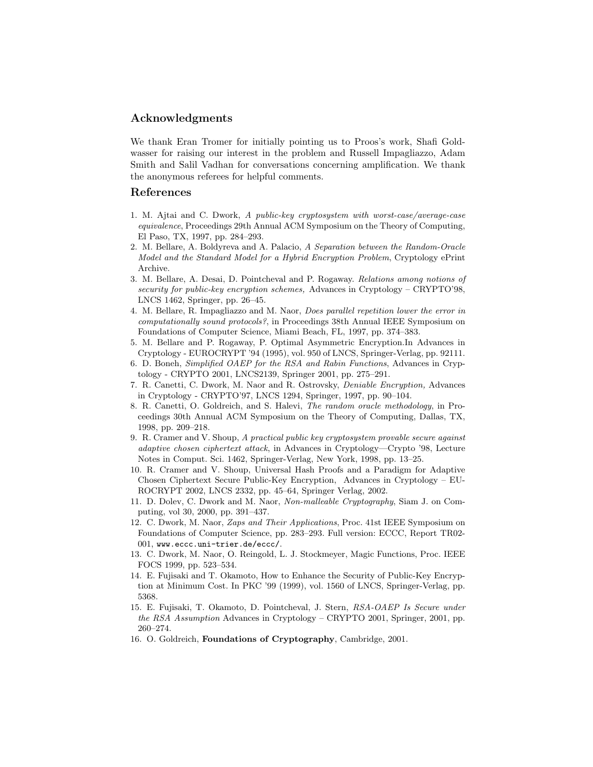## Acknowledgments

We thank Eran Tromer for initially pointing us to Proos's work, Shafi Goldwasser for raising our interest in the problem and Russell Impagliazzo, Adam Smith and Salil Vadhan for conversations concerning amplification. We thank the anonymous referees for helpful comments.

## References

- 1. M. Ajtai and C. Dwork, A public-key cryptosystem with worst-case/average-case equivalence, Proceedings 29th Annual ACM Symposium on the Theory of Computing, El Paso, TX, 1997, pp. 284–293.
- 2. M. Bellare, A. Boldyreva and A. Palacio, A Separation between the Random-Oracle Model and the Standard Model for a Hybrid Encryption Problem, Cryptology ePrint Archive.
- 3. M. Bellare, A. Desai, D. Pointcheval and P. Rogaway. Relations among notions of security for public-key encryption schemes, Advances in Cryptology – CRYPTO'98, LNCS 1462, Springer, pp. 26–45.
- 4. M. Bellare, R. Impagliazzo and M. Naor, Does parallel repetition lower the error in computationally sound protocols?, in Proceedings 38th Annual IEEE Symposium on Foundations of Computer Science, Miami Beach, FL, 1997, pp. 374–383.
- 5. M. Bellare and P. Rogaway, P. Optimal Asymmetric Encryption.In Advances in Cryptology - EUROCRYPT '94 (1995), vol. 950 of LNCS, Springer-Verlag, pp. 92111.
- 6. D. Boneh, Simplified OAEP for the RSA and Rabin Functions, Advances in Cryptology - CRYPTO 2001, LNCS2139, Springer 2001, pp. 275–291.
- 7. R. Canetti, C. Dwork, M. Naor and R. Ostrovsky, Deniable Encryption, Advances in Cryptology - CRYPTO'97, LNCS 1294, Springer, 1997, pp. 90–104.
- 8. R. Canetti, O. Goldreich, and S. Halevi, The random oracle methodology, in Proceedings 30th Annual ACM Symposium on the Theory of Computing, Dallas, TX, 1998, pp. 209–218.
- 9. R. Cramer and V. Shoup, A practical public key cryptosystem provable secure against adaptive chosen ciphertext attack, in Advances in Cryptology—Crypto '98, Lecture Notes in Comput. Sci. 1462, Springer-Verlag, New York, 1998, pp. 13–25.
- 10. R. Cramer and V. Shoup, Universal Hash Proofs and a Paradigm for Adaptive Chosen Ciphertext Secure Public-Key Encryption, Advances in Cryptology – EU-ROCRYPT 2002, LNCS 2332, pp. 45–64, Springer Verlag, 2002.
- 11. D. Dolev, C. Dwork and M. Naor, Non-malleable Cryptography, Siam J. on Computing, vol 30, 2000, pp. 391–437.
- 12. C. Dwork, M. Naor, Zaps and Their Applications, Proc. 41st IEEE Symposium on Foundations of Computer Science, pp. 283–293. Full version: ECCC, Report TR02- 001, www.eccc.uni-trier.de/eccc/.
- 13. C. Dwork, M. Naor, O. Reingold, L. J. Stockmeyer, Magic Functions, Proc. IEEE FOCS 1999, pp. 523–534.
- 14. E. Fujisaki and T. Okamoto, How to Enhance the Security of Public-Key Encryption at Minimum Cost. In PKC '99 (1999), vol. 1560 of LNCS, Springer-Verlag, pp. 5368.
- 15. E. Fujisaki, T. Okamoto, D. Pointcheval, J. Stern, RSA-OAEP Is Secure under the RSA Assumption Advances in Cryptology – CRYPTO 2001, Springer, 2001, pp. 260–274.
- 16. O. Goldreich, Foundations of Cryptography, Cambridge, 2001.